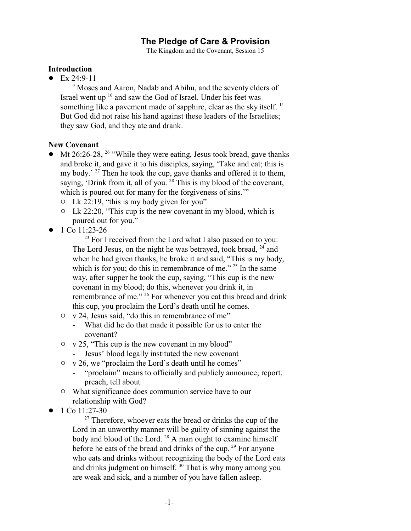# **The Pledge of Care & Provision**

The Kingdom and the Covenant, Session 15

## **Introduction**

 $\bullet$  Ex 24:9-11

<sup>9</sup> Moses and Aaron, Nadab and Abihu, and the seventy elders of Israel went up <sup>10</sup> and saw the God of Israel. Under his feet was something like a pavement made of sapphire, clear as the sky itself.  $^{11}$ But God did not raise his hand against these leaders of the Israelites; they saw God, and they ate and drank.

## **New Covenant**

- $\bullet$  Mt 26:26-28, <sup>26</sup> "While they were eating, Jesus took bread, gave thanks and broke it, and gave it to his disciples, saying, 'Take and eat; this is my body.' <sup>27</sup> Then he took the cup, gave thanks and offered it to them, saying, 'Drink from it, all of you.<sup>28</sup> This is my blood of the covenant, which is poured out for many for the forgiveness of sins."
	- $\no$  Lk 22:19, "this is my body given for you"
	- $\no$  Lk 22:20, "This cup is the new covenant in my blood, which is poured out for you."
- $\bullet$  1 Co 11:23-26

<sup>23</sup> For I received from the Lord what I also passed on to you: The Lord Jesus, on the night he was betrayed, took bread, <sup>24</sup> and when he had given thanks, he broke it and said, "This is my body, which is for you; do this in remembrance of me."  $25$  In the same way, after supper he took the cup, saying, "This cup is the new covenant in my blood; do this, whenever you drink it, in remembrance of me." <sup>26</sup> For whenever you eat this bread and drink this cup, you proclaim the Lord's death until he comes.

- $\circ$  v 24, Jesus said, "do this in remembrance of me"
	- What did he do that made it possible for us to enter the covenant?
- $\circ$  v 25, "This cup is the new covenant in my blood"
	- Jesus' blood legally instituted the new covenant
- $\circ$  v 26, we "proclaim the Lord's death until he comes"
	- "proclaim" means to officially and publicly announce; report, preach, tell about
- $\circ$  What significance does communion service have to our relationship with God?
- $\bullet$  1 Co 11:27-30

<sup>27</sup> Therefore, whoever eats the bread or drinks the cup of the Lord in an unworthy manner will be guilty of sinning against the body and blood of the Lord.<sup>28</sup> A man ought to examine himself before he eats of the bread and drinks of the cup.<sup>29</sup> For anyone who eats and drinks without recognizing the body of the Lord eats and drinks judgment on himself.  $30$  That is why many among you are weak and sick, and a number of you have fallen asleep.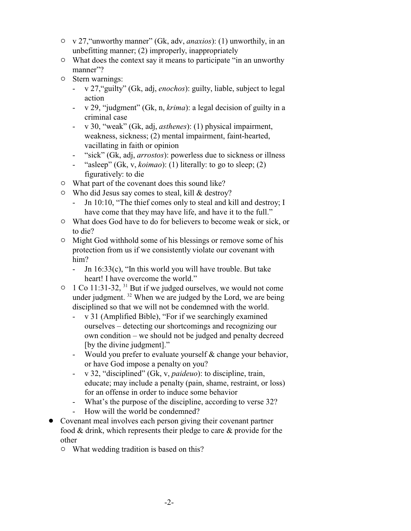- " v 27,"unworthy manner" (Gk, adv, *anaxios*): (1) unworthily, in an unbefitting manner; (2) improperly, inappropriately
- $\circ$  What does the context say it means to participate "in an unworthy" manner"?
- $\circ$  Stern warnings:
	- v 27,"guilty" (Gk, adj, *enochos*): guilty, liable, subject to legal action
	- v 29, "judgment" (Gk, n, *krima*): a legal decision of guilty in a criminal case
	- v 30, "weak" (Gk, adj, *asthenes*): (1) physical impairment, weakness, sickness; (2) mental impairment, faint-hearted, vacillating in faith or opinion
	- "sick" (Gk, adj, *arrostos*): powerless due to sickness or illness
	- "asleep" (Gk, v, *koimao*): (1) literally: to go to sleep; (2) figuratively: to die
- $\circ$  What part of the covenant does this sound like?
- $\circ$  Who did Jesus say comes to steal, kill & destroy?
	- Jn 10:10, "The thief comes only to steal and kill and destroy; I have come that they may have life, and have it to the full."
- $\circ$  What does God have to do for believers to become weak or sick, or to die?
- $\circ$  Might God withhold some of his blessings or remove some of his protection from us if we consistently violate our covenant with him?
	- Jn 16:33(c), "In this world you will have trouble. But take heart! I have overcome the world."
- $\circ$  1 Co 11:31-32, <sup>31</sup> But if we judged ourselves, we would not come under judgment.<sup>32</sup> When we are judged by the Lord, we are being disciplined so that we will not be condemned with the world.
	- v 31 (Amplified Bible), "For if we searchingly examined ourselves – detecting our shortcomings and recognizing our own condition – we should not be judged and penalty decreed [by the divine judgment]."
	- Would you prefer to evaluate yourself & change your behavior, or have God impose a penalty on you?
	- v 32, "disciplined" (Gk, v, *paideuo*): to discipline, train, educate; may include a penalty (pain, shame, restraint, or loss) for an offense in order to induce some behavior
	- What's the purpose of the discipline, according to verse 32?
	- How will the world be condemned?
- Covenant meal involves each person giving their covenant partner food & drink, which represents their pledge to care & provide for the other
	- $\circ$  What wedding tradition is based on this?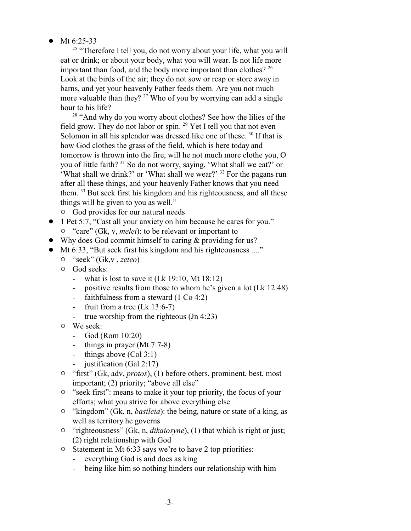• Mt  $6:25-33$ 

<sup>25</sup> "Therefore I tell you, do not worry about your life, what you will eat or drink; or about your body, what you will wear. Is not life more important than food, and the body more important than clothes?  $2^6$ Look at the birds of the air; they do not sow or reap or store away in barns, and yet your heavenly Father feeds them. Are you not much more valuable than they? <sup>27</sup> Who of you by worrying can add a single hour to his life?

<sup>28</sup> "And why do you worry about clothes? See how the lilies of the field grow. They do not labor or spin.<sup>29</sup> Yet I tell you that not even Solomon in all his splendor was dressed like one of these.<sup>30</sup> If that is how God clothes the grass of the field, which is here today and tomorrow is thrown into the fire, will he not much more clothe you, O you of little faith? <sup>31</sup> So do not worry, saying, 'What shall we eat?' or 'What shall we drink?' or 'What shall we wear?' <sup>32</sup> For the pagans run after all these things, and your heavenly Father knows that you need them. <sup>33</sup> But seek first his kingdom and his righteousness, and all these things will be given to you as well."

- $\circ$  God provides for our natural needs
- ! 1 Pet 5:7, "Cast all your anxiety on him because he cares for you." <sup>o</sup> "care" (Gk, v, *melei*): to be relevant or important to
- Why does God commit himself to caring & providing for us?
- Mt 6:33, "But seek first his kingdom and his righteousness ...."
	- " "seek" (Gk,v , *zeteo*)
	- $\circ$  God seeks:
		- what is lost to save it (Lk 19:10, Mt 18:12)
		- positive results from those to whom he's given a lot (Lk 12:48)
		- faithfulness from a steward (1 Co 4:2)
		- fruit from a tree (Lk 13:6-7)
		- true worship from the righteous (Jn 4:23)
	- $\circ$  We seek:
		- God (Rom 10:20)
		- things in prayer (Mt 7:7-8)
		- things above (Col 3:1)
		- justification (Gal 2:17)
	- <sup>o</sup> "first" (Gk, adv, *protos*), (1) before others, prominent, best, most important; (2) priority; "above all else"
	- <sup>o</sup> "seek first": means to make it your top priority, the focus of your efforts; what you strive for above everything else
	- <sup>o</sup> "kingdom" (Gk, n, *basileia*): the being, nature or state of a king, as well as territory he governs
	- <sup>o</sup> "righteousness" (Gk, n, *dikaiosyne*), (1) that which is right or just; (2) right relationship with God
	- $\circ$  Statement in Mt 6:33 says we're to have 2 top priorities:
		- everything God is and does as king
		- being like him so nothing hinders our relationship with him